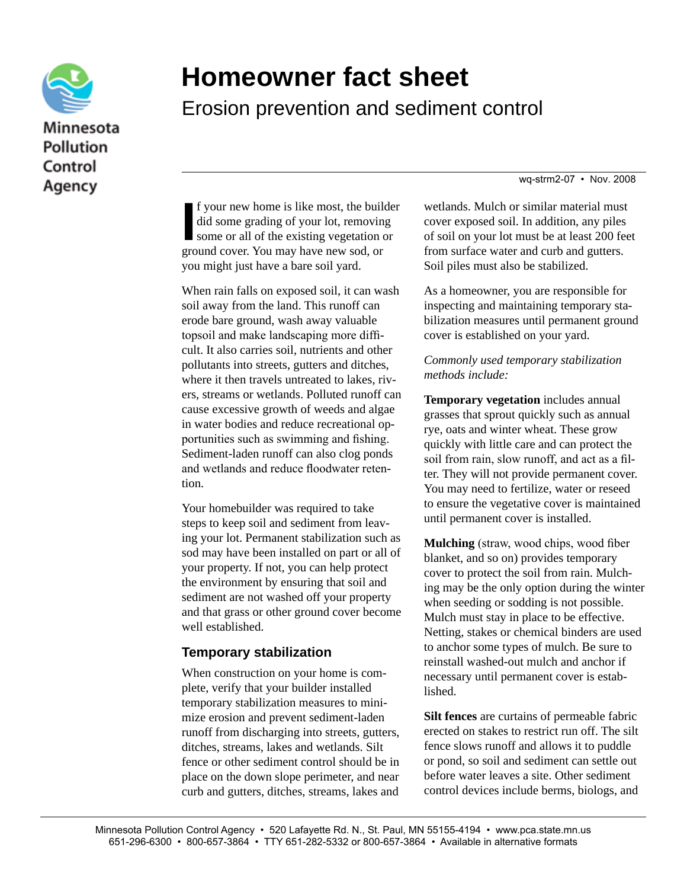

## **Homeowner fact sheet**

Erosion prevention and sediment control

wq-strm2-07 • Nov. 2008

If your new home is like most, the build<br>did some grading of your lot, removing<br>some or all of the existing vegetation of<br>ground cover. You may have new sod, or f your new home is like most, the builder did some grading of your lot, removing some or all of the existing vegetation or you might just have a bare soil yard.

When rain falls on exposed soil, it can wash soil away from the land. This runoff can erode bare ground, wash away valuable topsoil and make landscaping more difficult. It also carries soil, nutrients and other pollutants into streets, gutters and ditches, where it then travels untreated to lakes, rivers, streams or wetlands. Polluted runoff can cause excessive growth of weeds and algae in water bodies and reduce recreational opportunities such as swimming and fishing. Sediment-laden runoff can also clog ponds and wetlands and reduce floodwater retention.

Your homebuilder was required to take steps to keep soil and sediment from leaving your lot. Permanent stabilization such as sod may have been installed on part or all of your property. If not, you can help protect the environment by ensuring that soil and sediment are not washed off your property and that grass or other ground cover become well established.

## **Temporary stabilization**

When construction on your home is complete, verify that your builder installed temporary stabilization measures to minimize erosion and prevent sediment-laden runoff from discharging into streets, gutters, ditches, streams, lakes and wetlands. Silt fence or other sediment control should be in place on the down slope perimeter, and near curb and gutters, ditches, streams, lakes and wetlands. Mulch or similar material must cover exposed soil. In addition, any piles of soil on your lot must be at least 200 feet from surface water and curb and gutters. Soil piles must also be stabilized.

As a homeowner, you are responsible for inspecting and maintaining temporary stabilization measures until permanent ground cover is established on your yard.

*Commonly used temporary stabilization methods include:*

**Temporary vegetation** includes annual grasses that sprout quickly such as annual rye, oats and winter wheat. These grow quickly with little care and can protect the soil from rain, slow runoff, and act as a filter. They will not provide permanent cover. You may need to fertilize, water or reseed to ensure the vegetative cover is maintained until permanent cover is installed.

**Mulching** (straw, wood chips, wood fiber blanket, and so on) provides temporary cover to protect the soil from rain. Mulching may be the only option during the winter when seeding or sodding is not possible. Mulch must stay in place to be effective. Netting, stakes or chemical binders are used to anchor some types of mulch. Be sure to reinstall washed-out mulch and anchor if necessary until permanent cover is established.

**Silt fences** are curtains of permeable fabric erected on stakes to restrict run off. The silt fence slows runoff and allows it to puddle or pond, so soil and sediment can settle out before water leaves a site. Other sediment control devices include berms, biologs, and